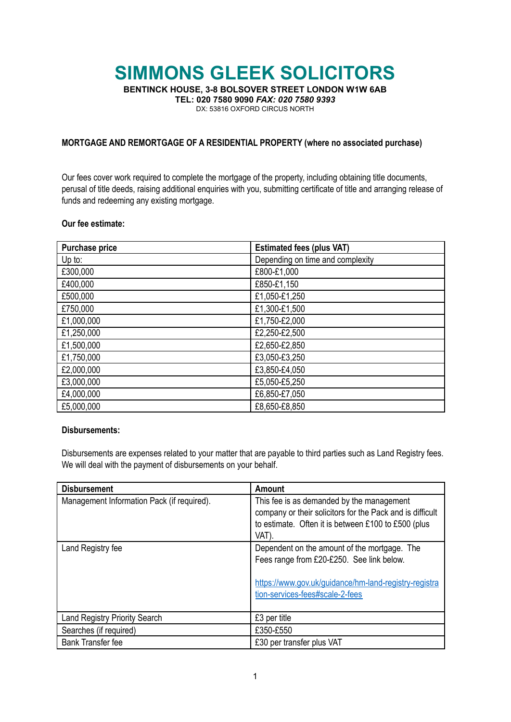# **SIMMONS GLEEK SOLICITORS**

**BENTINCK HOUSE, 3-8 BOLSOVER STREET LONDON W1W 6AB**

**TEL: 020 7580 9090** *FAX: 020 7580 9393*

DX: 53816 OXFORD CIRCUS NORTH

### **MORTGAGE AND REMORTGAGE OF A RESIDENTIAL PROPERTY (where no associated purchase)**

Our fees cover work required to complete the mortgage of the property, including obtaining title documents, perusal of title deeds, raising additional enquiries with you, submitting certificate of title and arranging release of funds and redeeming any existing mortgage.

#### **Our fee estimate:**

| <b>Purchase price</b> | <b>Estimated fees (plus VAT)</b> |
|-----------------------|----------------------------------|
| Up to:                | Depending on time and complexity |
| £300,000              | £800-£1,000                      |
| £400,000              | £850-£1,150                      |
| £500,000              | £1,050-£1,250                    |
| £750,000              | £1,300-£1,500                    |
| £1,000,000            | £1,750-£2,000                    |
| £1,250,000            | £2,250-£2,500                    |
| £1,500,000            | £2,650-£2,850                    |
| £1,750,000            | £3,050-£3,250                    |
| £2,000,000            | £3,850-£4,050                    |
| £3,000,000            | £5,050-£5,250                    |
| £4,000,000            | £6,850-£7,050                    |
| £5,000,000            | £8,650-£8,850                    |

### **Disbursements:**

Disbursements are expenses related to your matter that are payable to third parties such as Land Registry fees. We will deal with the payment of disbursements on your behalf.

| <b>Disbursement</b>                        | <b>Amount</b>                                                                                                                                                                         |
|--------------------------------------------|---------------------------------------------------------------------------------------------------------------------------------------------------------------------------------------|
| Management Information Pack (if required). | This fee is as demanded by the management<br>company or their solicitors for the Pack and is difficult<br>to estimate. Often it is between £100 to £500 (plus<br>VAT).                |
| Land Registry fee                          | Dependent on the amount of the mortgage. The<br>Fees range from £20-£250. See link below.<br>https://www.gov.uk/guidance/hm-land-registry-registra<br>tion-services-fees#scale-2-fees |
| <b>Land Registry Priority Search</b>       | £3 per title                                                                                                                                                                          |
| Searches (if required)                     | £350-£550                                                                                                                                                                             |
| <b>Bank Transfer fee</b>                   | £30 per transfer plus VAT                                                                                                                                                             |